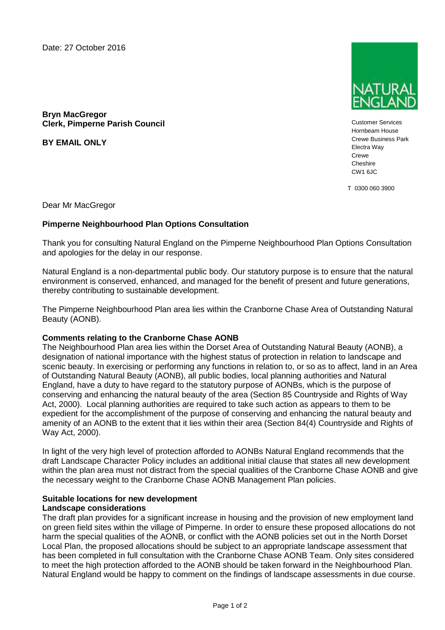Date: 27 October 2016



**Bryn MacGregor Clerk, Pimperne Parish Council**

**BY EMAIL ONLY**

Customer Services Hornbeam House Crewe Business Park Electra Way Crewe **Cheshire** CW1 6JC

T 0300 060 3900

Dear Mr MacGregor

### **Pimperne Neighbourhood Plan Options Consultation**

Thank you for consulting Natural England on the Pimperne Neighbourhood Plan Options Consultation and apologies for the delay in our response.

Natural England is a non-departmental public body. Our statutory purpose is to ensure that the natural environment is conserved, enhanced, and managed for the benefit of present and future generations, thereby contributing to sustainable development.

The Pimperne Neighbourhood Plan area lies within the Cranborne Chase Area of Outstanding Natural Beauty (AONB).

#### **Comments relating to the Cranborne Chase AONB**

The Neighbourhood Plan area lies within the Dorset Area of Outstanding Natural Beauty (AONB), a designation of national importance with the highest status of protection in relation to landscape and scenic beauty. In exercising or performing any functions in relation to, or so as to affect, land in an Area of Outstanding Natural Beauty (AONB), all public bodies, local planning authorities and Natural England, have a duty to have regard to the statutory purpose of AONBs, which is the purpose of conserving and enhancing the natural beauty of the area (Section 85 Countryside and Rights of Way Act, 2000). Local planning authorities are required to take such action as appears to them to be expedient for the accomplishment of the purpose of conserving and enhancing the natural beauty and amenity of an AONB to the extent that it lies within their area (Section 84(4) Countryside and Rights of Way Act, 2000).

In light of the very high level of protection afforded to AONBs Natural England recommends that the draft Landscape Character Policy includes an additional initial clause that states all new development within the plan area must not distract from the special qualities of the Cranborne Chase AONB and give the necessary weight to the Cranborne Chase AONB Management Plan policies.

### **Suitable locations for new development Landscape considerations**

The draft plan provides for a significant increase in housing and the provision of new employment land on green field sites within the village of Pimperne. In order to ensure these proposed allocations do not harm the special qualities of the AONB, or conflict with the AONB policies set out in the North Dorset Local Plan, the proposed allocations should be subject to an appropriate landscape assessment that has been completed in full consultation with the Cranborne Chase AONB Team. Only sites considered to meet the high protection afforded to the AONB should be taken forward in the Neighbourhood Plan. Natural England would be happy to comment on the findings of landscape assessments in due course.